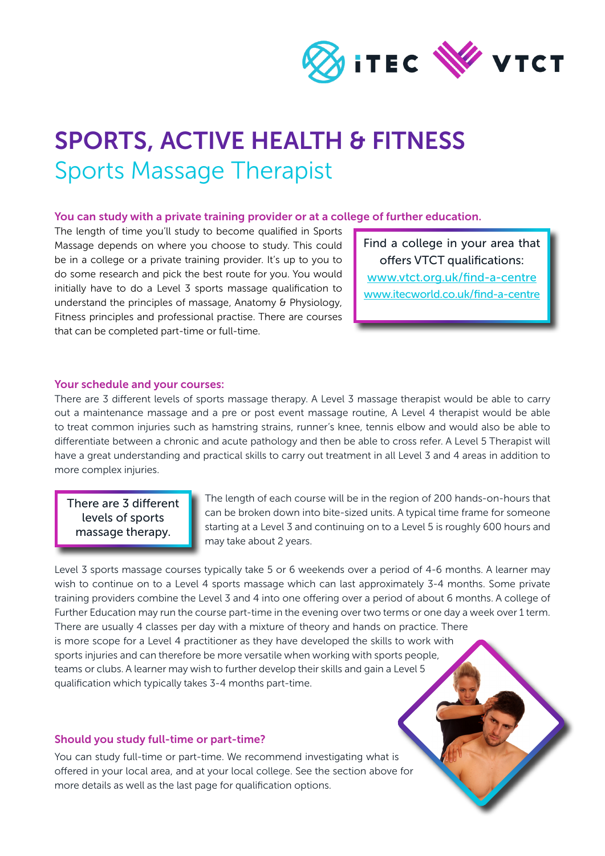

# SPORTS, ACTIVE HEALTH & FITNESS Sports Massage Therapist

#### You can study with a private training provider or at a college of further education.

The length of time you'll study to become qualified in Sports Massage depends on where you choose to study. This could be in a college or a private training provider. It's up to you to do some research and pick the best route for you. You would initially have to do a Level 3 sports massage qualification to understand the principles of massage, Anatomy & Physiology, Fitness principles and professional practise. There are courses that can be completed part-time or full-time.

Find a college in your area that offers VTCT qualifications: [www.vtct.org.uk/find-a-centre](http://www.vtct.org.uk/find-a-centre) [www.itecworld.co.uk/find-a-centre](http://www.itecworld.co.uk/find-a-centre)

#### Your schedule and your courses:

There are 3 different levels of sports massage therapy. A Level 3 massage therapist would be able to carry out a maintenance massage and a pre or post event massage routine, A Level 4 therapist would be able to treat common injuries such as hamstring strains, runner's knee, tennis elbow and would also be able to differentiate between a chronic and acute pathology and then be able to cross refer. A Level 5 Therapist will have a great understanding and practical skills to carry out treatment in all Level 3 and 4 areas in addition to more complex injuries.

There are 3 different levels of sports massage therapy.

The length of each course will be in the region of 200 hands-on-hours that can be broken down into bite-sized units. A typical time frame for someone starting at a Level 3 and continuing on to a Level 5 is roughly 600 hours and may take about 2 years.

Level 3 sports massage courses typically take 5 or 6 weekends over a period of 4-6 months. A learner may wish to continue on to a Level 4 sports massage which can last approximately 3-4 months. Some private training providers combine the Level 3 and 4 into one offering over a period of about 6 months. A college of Further Education may run the course part-time in the evening over two terms or one day a week over 1 term. There are usually 4 classes per day with a mixture of theory and hands on practice. There is more scope for a Level 4 practitioner as they have developed the skills to work with sports injuries and can therefore be more versatile when working with sports people, teams or clubs. A learner may wish to further develop their skills and gain a Level 5 qualification which typically takes 3-4 months part-time.

### Should you study full-time or part-time?

You can study full-time or part-time. We recommend investigating what is offered in your local area, and at your local college. See the section above for more details as well as the last page for qualification options.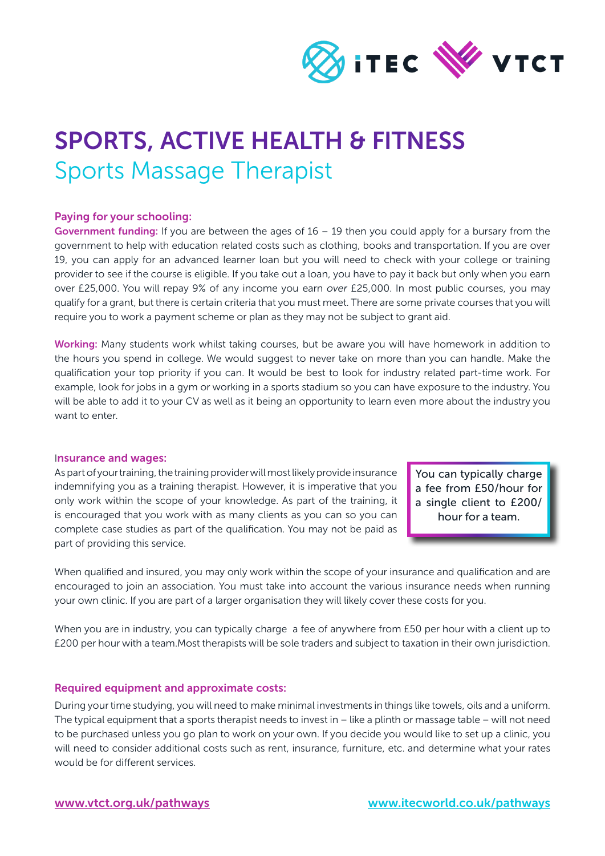

# SPORTS, ACTIVE HEALTH & FITNESS Sports Massage Therapist

### Paying for your schooling:

Government funding: If you are between the ages of  $16 - 19$  then you could apply for a bursary from the government to help with education related costs such as clothing, books and transportation. If you are over 19, you can apply for an advanced learner loan but you will need to check with your college or training provider to see if the course is eligible. If you take out a loan, you have to pay it back but only when you earn over £25,000. You will repay 9% of any income you earn *over* £25,000. In most public courses, you may qualify for a grant, but there is certain criteria that you must meet. There are some private courses that you will require you to work a payment scheme or plan as they may not be subject to grant aid.

Working: Many students work whilst taking courses, but be aware you will have homework in addition to the hours you spend in college. We would suggest to never take on more than you can handle. Make the qualification your top priority if you can. It would be best to look for industry related part-time work. For example, look for jobs in a gym or working in a sports stadium so you can have exposure to the industry. You will be able to add it to your CV as well as it being an opportunity to learn even more about the industry you want to enter.

#### Insurance and wages:

As part of your training, the training provider will most likely provide insurance indemnifying you as a training therapist. However, it is imperative that you only work within the scope of your knowledge. As part of the training, it is encouraged that you work with as many clients as you can so you can complete case studies as part of the qualification. You may not be paid as part of providing this service.

You can typically charge a fee from £50/hour for a single client to £200/ hour for a team.

When qualified and insured, you may only work within the scope of your insurance and qualification and are encouraged to join an association. You must take into account the various insurance needs when running your own clinic. If you are part of a larger organisation they will likely cover these costs for you.

When you are in industry, you can typically charge a fee of anywhere from £50 per hour with a client up to £200 per hour with a team.Most therapists will be sole traders and subject to taxation in their own jurisdiction.

### Required equipment and approximate costs:

During your time studying, you will need to make minimal investments in things like towels, oils and a uniform. The typical equipment that a sports therapist needs to invest in – like a plinth or massage table – will not need to be purchased unless you go plan to work on your own. If you decide you would like to set up a clinic, you will need to consider additional costs such as rent, insurance, furniture, etc. and determine what your rates would be for different services.